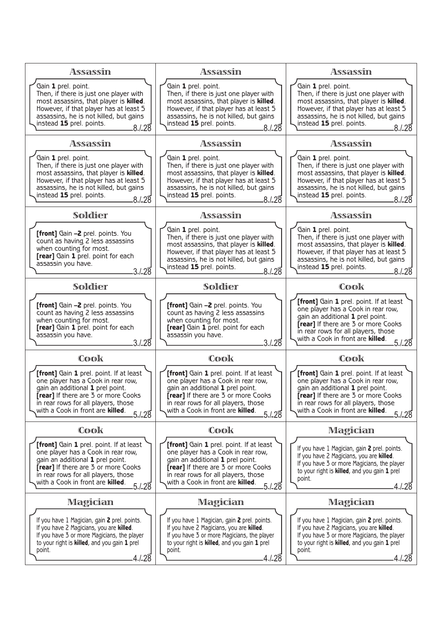